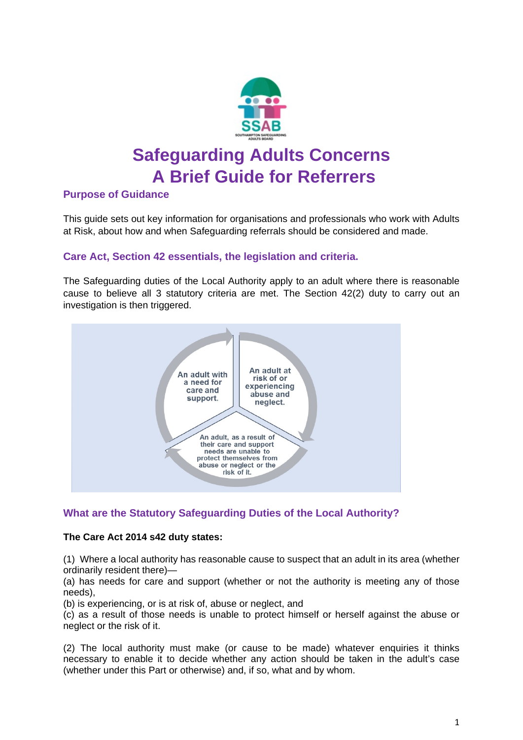

# **Safeguarding Adults Concerns A Brief Guide for Referrers**

# **Purpose of Guidance**

This guide sets out key information for organisations and professionals who work with Adults at Risk, about how and when Safeguarding referrals should be considered and made.

# **Care Act, Section 42 essentials, the legislation and criteria.**

The Safeguarding duties of the Local Authority apply to an adult where there is reasonable cause to believe all 3 statutory criteria are met. The Section 42(2) duty to carry out an investigation is then triggered.



# **What are the Statutory Safeguarding Duties of the Local Authority?**

## **The Care Act 2014 s42 duty states:**

(1) Where a local authority has reasonable cause to suspect that an adult in its area (whether ordinarily resident there)—

(a) has needs for care and support (whether or not the authority is meeting any of those needs),

(b) is experiencing, or is at risk of, abuse or neglect, and

(c) as a result of those needs is unable to protect himself or herself against the abuse or neglect or the risk of it.

(2) The local authority must make (or cause to be made) whatever enquiries it thinks necessary to enable it to decide whether any action should be taken in the adult's case (whether under this Part or otherwise) and, if so, what and by whom.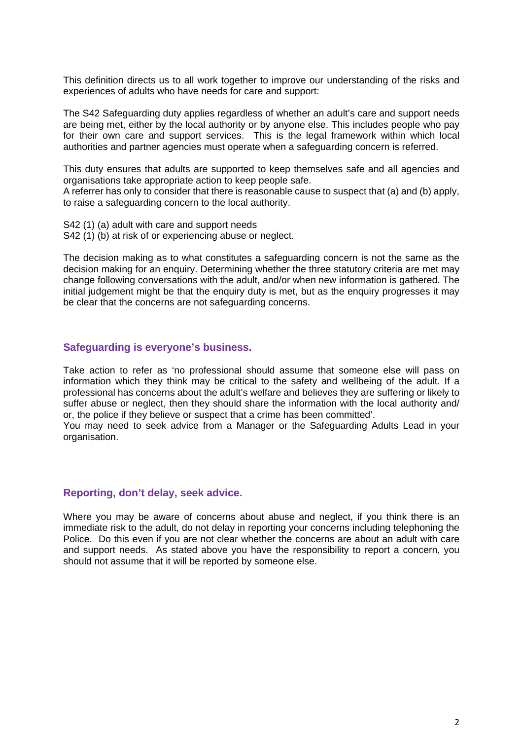This definition directs us to all work together to improve our understanding of the risks and experiences of adults who have needs for care and support:

The S42 Safeguarding duty applies regardless of whether an adult's care and support needs are being met, either by the local authority or by anyone else. This includes people who pay for their own care and support services. This is the legal framework within which local authorities and partner agencies must operate when a safeguarding concern is referred.

This duty ensures that adults are supported to keep themselves safe and all agencies and organisations take appropriate action to keep people safe.

A referrer has only to consider that there is reasonable cause to suspect that (a) and (b) apply, to raise a safeguarding concern to the local authority.

S42 (1) (a) adult with care and support needs

S42 (1) (b) at risk of or experiencing abuse or neglect.

The decision making as to what constitutes a safeguarding concern is not the same as the decision making for an enquiry. Determining whether the three statutory criteria are met may change following conversations with the adult, and/or when new information is gathered. The initial judgement might be that the enquiry duty is met, but as the enquiry progresses it may be clear that the concerns are not safeguarding concerns.

#### **Safeguarding is everyone's business.**

Take action to refer as 'no professional should assume that someone else will pass on information which they think may be critical to the safety and wellbeing of the adult. If a professional has concerns about the adult's welfare and believes they are suffering or likely to suffer abuse or neglect, then they should share the information with the local authority and/ or, the police if they believe or suspect that a crime has been committed'.

You may need to seek advice from a Manager or the Safeguarding Adults Lead in your organisation.

#### **Reporting, don't delay, seek advice.**

Where you may be aware of concerns about abuse and neglect, if you think there is an immediate risk to the adult, do not delay in reporting your concerns including telephoning the Police. Do this even if you are not clear whether the concerns are about an adult with care and support needs. As stated above you have the responsibility to report a concern, you should not assume that it will be reported by someone else.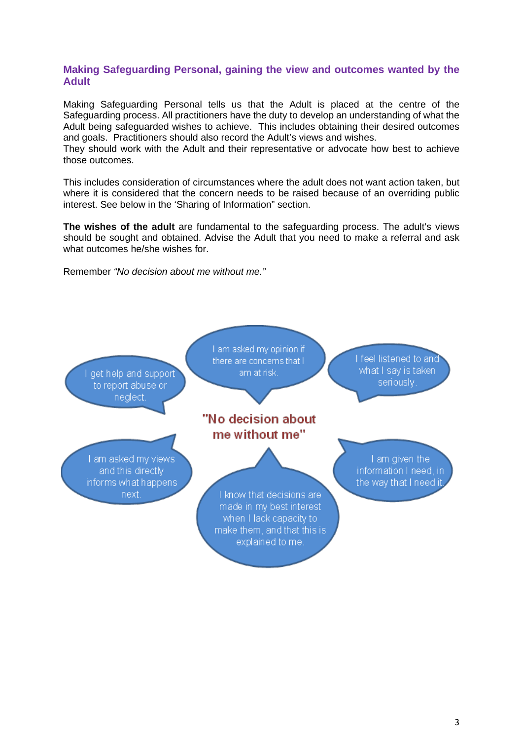## **Making Safeguarding Personal, gaining the view and outcomes wanted by the Adult**

Making Safeguarding Personal tells us that the Adult is placed at the centre of the Safeguarding process. All practitioners have the duty to develop an understanding of what the Adult being safeguarded wishes to achieve. This includes obtaining their desired outcomes and goals. Practitioners should also record the Adult's views and wishes.

They should work with the Adult and their representative or advocate how best to achieve those outcomes.

This includes consideration of circumstances where the adult does not want action taken, but where it is considered that the concern needs to be raised because of an overriding public interest. See below in the 'Sharing of Information" section.

**The wishes of the adult** are fundamental to the safeguarding process. The adult's views should be sought and obtained. Advise the Adult that you need to make a referral and ask what outcomes he/she wishes for.

Remember *"No decision about me without me."*

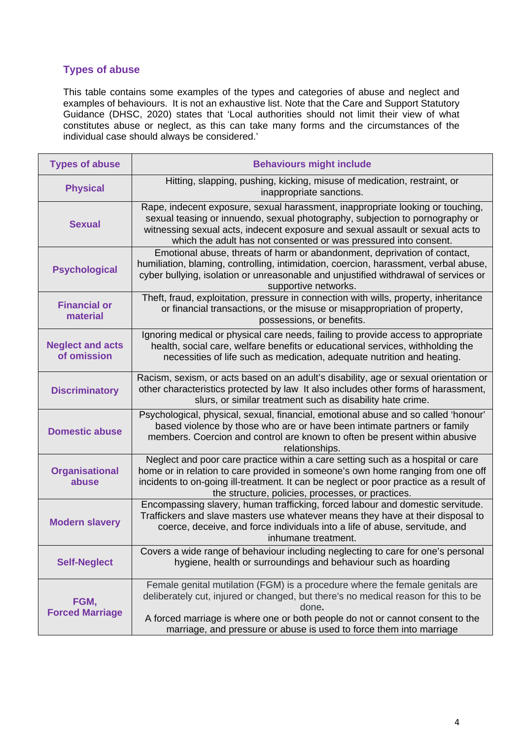# **Types of abuse**

This table contains some examples of the types and categories of abuse and neglect and examples of behaviours. It is not an exhaustive list. Note that the Care and Support Statutory Guidance (DHSC, 2020) states that 'Local authorities should not limit their view of what constitutes abuse or neglect, as this can take many forms and the circumstances of the individual case should always be considered.'

| <b>Types of abuse</b>                  | <b>Behaviours might include</b>                                                                                                                                                                                                                                                                                                     |
|----------------------------------------|-------------------------------------------------------------------------------------------------------------------------------------------------------------------------------------------------------------------------------------------------------------------------------------------------------------------------------------|
| <b>Physical</b>                        | Hitting, slapping, pushing, kicking, misuse of medication, restraint, or<br>inappropriate sanctions.                                                                                                                                                                                                                                |
| <b>Sexual</b>                          | Rape, indecent exposure, sexual harassment, inappropriate looking or touching,<br>sexual teasing or innuendo, sexual photography, subjection to pornography or<br>witnessing sexual acts, indecent exposure and sexual assault or sexual acts to<br>which the adult has not consented or was pressured into consent.                |
| <b>Psychological</b>                   | Emotional abuse, threats of harm or abandonment, deprivation of contact,<br>humiliation, blaming, controlling, intimidation, coercion, harassment, verbal abuse,<br>cyber bullying, isolation or unreasonable and unjustified withdrawal of services or<br>supportive networks.                                                     |
| <b>Financial or</b><br>material        | Theft, fraud, exploitation, pressure in connection with wills, property, inheritance<br>or financial transactions, or the misuse or misappropriation of property,<br>possessions, or benefits.                                                                                                                                      |
| <b>Neglect and acts</b><br>of omission | Ignoring medical or physical care needs, failing to provide access to appropriate<br>health, social care, welfare benefits or educational services, withholding the<br>necessities of life such as medication, adequate nutrition and heating.                                                                                      |
| <b>Discriminatory</b>                  | Racism, sexism, or acts based on an adult's disability, age or sexual orientation or<br>other characteristics protected by law. It also includes other forms of harassment,<br>slurs, or similar treatment such as disability hate crime.                                                                                           |
| <b>Domestic abuse</b>                  | Psychological, physical, sexual, financial, emotional abuse and so called 'honour'<br>based violence by those who are or have been intimate partners or family<br>members. Coercion and control are known to often be present within abusive<br>relationships.                                                                      |
| <b>Organisational</b><br>abuse         | Neglect and poor care practice within a care setting such as a hospital or care<br>home or in relation to care provided in someone's own home ranging from one off<br>incidents to on-going ill-treatment. It can be neglect or poor practice as a result of<br>the structure, policies, processes, or practices.                   |
| <b>Modern slavery</b>                  | Encompassing slavery, human trafficking, forced labour and domestic servitude.<br>Traffickers and slave masters use whatever means they have at their disposal to<br>coerce, deceive, and force individuals into a life of abuse, servitude, and<br>inhumane treatment.                                                             |
| <b>Self-Neglect</b>                    | Covers a wide range of behaviour including neglecting to care for one's personal<br>hygiene, health or surroundings and behaviour such as hoarding                                                                                                                                                                                  |
| FGM,<br><b>Forced Marriage</b>         | Female genital mutilation (FGM) is a procedure where the female genitals are<br>deliberately cut, injured or changed, but there's no medical reason for this to be<br>done.<br>A forced marriage is where one or both people do not or cannot consent to the<br>marriage, and pressure or abuse is used to force them into marriage |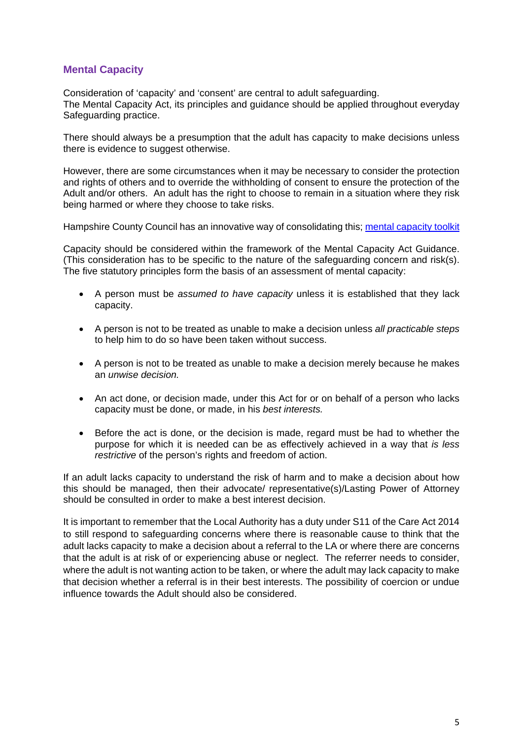# **Mental Capacity**

Consideration of 'capacity' and 'consent' are central to adult safeguarding. The Mental Capacity Act, its principles and guidance should be applied throughout everyday Safeguarding practice.

There should always be a presumption that the adult has capacity to make decisions unless there is evidence to suggest otherwise.

However, there are some circumstances when it may be necessary to consider the protection and rights of others and to override the withholding of consent to ensure the protection of the Adult and/or others. An adult has the right to choose to remain in a situation where they risk being harmed or where they choose to take risks.

Hampshire County Council has an innovative way of consolidating this; [mental capacity](file://Corp/Home/HomeS/sosopes1/Documents/mental-capacity-toolkit-2010.pdf) toolkit

Capacity should be considered within the framework of the Mental Capacity Act Guidance. (This consideration has to be specific to the nature of the safeguarding concern and risk(s). The five statutory principles form the basis of an assessment of mental capacity:

- A person must be *assumed to have capacity* unless it is established that they lack capacity.
- A person is not to be treated as unable to make a decision unless *all practicable steps*  to help him to do so have been taken without success.
- A person is not to be treated as unable to make a decision merely because he makes an *unwise decision.*
- An act done, or decision made, under this Act for or on behalf of a person who lacks capacity must be done, or made, in his *best interests.*
- Before the act is done, or the decision is made, regard must be had to whether the purpose for which it is needed can be as effectively achieved in a way that *is less restrictive* of the person's rights and freedom of action.

If an adult lacks capacity to understand the risk of harm and to make a decision about how this should be managed, then their advocate/ representative(s)/Lasting Power of Attorney should be consulted in order to make a best interest decision.

It is important to remember that the Local Authority has a duty under S11 of the Care Act 2014 to still respond to safeguarding concerns where there is reasonable cause to think that the adult lacks capacity to make a decision about a referral to the LA or where there are concerns that the adult is at risk of or experiencing abuse or neglect. The referrer needs to consider, where the adult is not wanting action to be taken, or where the adult may lack capacity to make that decision whether a referral is in their best interests. The possibility of coercion or undue influence towards the Adult should also be considered.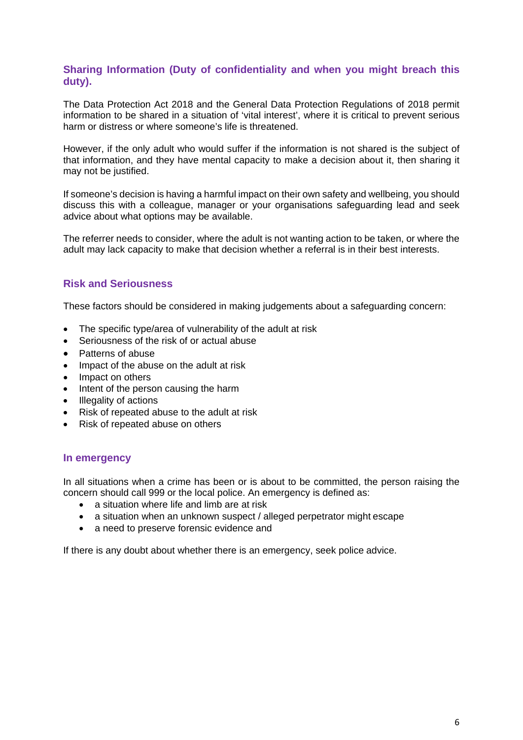## **Sharing Information (Duty of confidentiality and when you might breach this duty).**

The Data Protection Act 2018 and the General Data Protection Regulations of 2018 permit information to be shared in a situation of 'vital interest', where it is critical to prevent serious harm or distress or where someone's life is threatened.

However, if the only adult who would suffer if the information is not shared is the subject of that information, and they have mental capacity to make a decision about it, then sharing it may not be justified.

If someone's decision is having a harmful impact on their own safety and wellbeing, you should discuss this with a colleague, manager or your organisations safeguarding lead and seek advice about what options may be available.

The referrer needs to consider, where the adult is not wanting action to be taken, or where the adult may lack capacity to make that decision whether a referral is in their best interests.

# **Risk and Seriousness**

These factors should be considered in making judgements about a safeguarding concern:

- The specific type/area of vulnerability of the adult at risk
- Seriousness of the risk of or actual abuse
- Patterns of abuse
- Impact of the abuse on the adult at risk
- Impact on others
- Intent of the person causing the harm
- Illegality of actions
- Risk of repeated abuse to the adult at risk
- Risk of repeated abuse on others

#### **In emergency**

In all situations when a crime has been or is about to be committed, the person raising the concern should call 999 or the local police. An emergency is defined as:

- a situation where life and limb are at risk
- a situation when an unknown suspect / alleged perpetrator might escape
- a need to preserve forensic evidence and

If there is any doubt about whether there is an emergency, seek police advice.